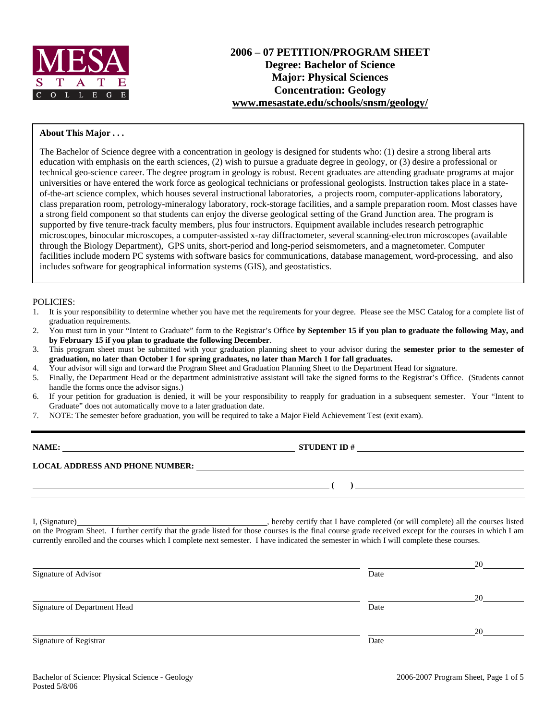

#### **About This Major . . .**

The Bachelor of Science degree with a concentration in geology is designed for students who: (1) desire a strong liberal arts education with emphasis on the earth sciences, (2) wish to pursue a graduate degree in geology, or (3) desire a professional or technical geo-science career. The degree program in geology is robust. Recent graduates are attending graduate programs at major universities or have entered the work force as geological technicians or professional geologists. Instruction takes place in a stateof-the-art science complex, which houses several instructional laboratories, a projects room, computer-applications laboratory, class preparation room, petrology-mineralogy laboratory, rock-storage facilities, and a sample preparation room. Most classes have a strong field component so that students can enjoy the diverse geological setting of the Grand Junction area. The program is supported by five tenure-track faculty members, plus four instructors. Equipment available includes research petrographic microscopes, binocular microscopes, a computer-assisted x-ray diffractometer, several scanning-electron microscopes (available through the Biology Department), GPS units, short-period and long-period seismometers, and a magnetometer. Computer facilities include modern PC systems with software basics for communications, database management, word-processing, and also includes software for geographical information systems (GIS), and geostatistics.

#### POLICIES:

- 1. It is your responsibility to determine whether you have met the requirements for your degree. Please see the MSC Catalog for a complete list of graduation requirements.
- 2. You must turn in your "Intent to Graduate" form to the Registrar's Office **by September 15 if you plan to graduate the following May, and by February 15 if you plan to graduate the following December**.
- 3. This program sheet must be submitted with your graduation planning sheet to your advisor during the **semester prior to the semester of graduation, no later than October 1 for spring graduates, no later than March 1 for fall graduates.**
- 4. Your advisor will sign and forward the Program Sheet and Graduation Planning Sheet to the Department Head for signature.
- 5. Finally, the Department Head or the department administrative assistant will take the signed forms to the Registrar's Office. (Students cannot handle the forms once the advisor signs.)
- 6. If your petition for graduation is denied, it will be your responsibility to reapply for graduation in a subsequent semester. Your "Intent to Graduate" does not automatically move to a later graduation date.
- 7. NOTE: The semester before graduation, you will be required to take a Major Field Achievement Test (exit exam).

| NAME:                                  | <b>STUDENT ID#</b> |
|----------------------------------------|--------------------|
| <b>LOCAL ADDRESS AND PHONE NUMBER:</b> |                    |
|                                        |                    |

I, (Signature) , hereby certify that I have completed (or will complete) all the courses listed on the Program Sheet. I further certify that the grade listed for those courses is the final course grade received except for the courses in which I am currently enrolled and the courses which I complete next semester. I have indicated the semester in which I will complete these courses.

|                              |      | 20 |
|------------------------------|------|----|
| Signature of Advisor         | Date |    |
|                              |      | 20 |
| Signature of Department Head | Date |    |
|                              |      | 20 |
| Signature of Registrar       | Date |    |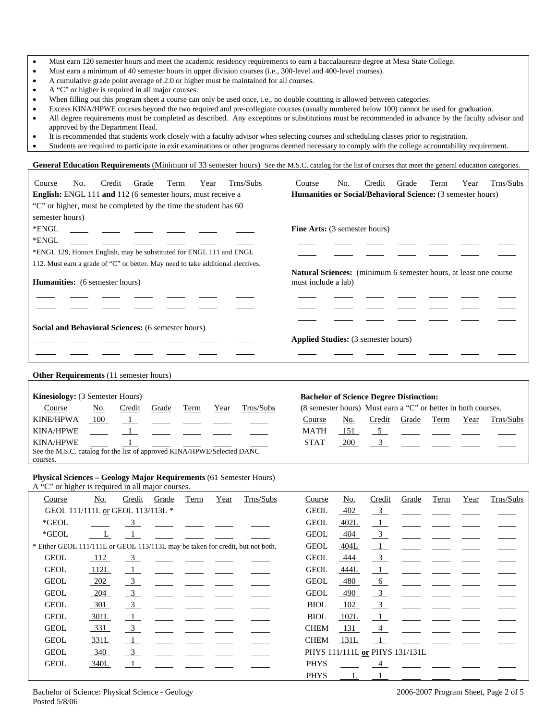|  | Must earn 120 semester hours and meet the academic residency requirements to earn a baccalaureate degree at Mesa State College. |  |  |  |
|--|---------------------------------------------------------------------------------------------------------------------------------|--|--|--|
|--|---------------------------------------------------------------------------------------------------------------------------------|--|--|--|

- Must earn a minimum of 40 semester hours in upper division courses (i.e., 300-level and 400-level courses).
- A cumulative grade point average of 2.0 or higher must be maintained for all courses.
- A "C" or higher is required in all major courses.
- When filling out this program sheet a course can only be used once, i.e., no double counting is allowed between categories.
- Excess KINA/HPWE courses beyond the two required and pre-collegiate courses (usually numbered below 100) cannot be used for graduation.
- All degree requirements must be completed as described. Any exceptions or substitutions must be recommended in advance by the faculty advisor and approved by the Department Head.
- It is recommended that students work closely with a faculty advisor when selecting courses and scheduling classes prior to registration.
- Students are required to participate in exit examinations or other programs deemed necessary to comply with the college accountability requirement.

General Education Requirements (Minimum of 33 semester hours) See the M.S.C. catalog for the list of courses that meet the general education categories.

| Trns/Subs<br>No.<br>Credit<br>Grade<br>Term<br>Year<br>Course                   | Trns/Subs<br>No.<br>Credit<br>Year<br>Course<br>Grade<br>Term                           |  |  |  |  |  |  |
|---------------------------------------------------------------------------------|-----------------------------------------------------------------------------------------|--|--|--|--|--|--|
| <b>English:</b> ENGL 111 and 112 (6 semester hours, must receive a              | <b>Humanities or Social/Behavioral Science:</b> (3 semester hours)                      |  |  |  |  |  |  |
| "C" or higher, must be completed by the time the student has 60                 |                                                                                         |  |  |  |  |  |  |
| semester hours)                                                                 |                                                                                         |  |  |  |  |  |  |
| *ENGL                                                                           | <b>Fine Arts:</b> (3 semester hours)                                                    |  |  |  |  |  |  |
| *ENGL                                                                           |                                                                                         |  |  |  |  |  |  |
| *ENGL 129, Honors English, may be substituted for ENGL 111 and ENGL             |                                                                                         |  |  |  |  |  |  |
| 112. Must earn a grade of "C" or better. May need to take additional electives. |                                                                                         |  |  |  |  |  |  |
| <b>Humanities:</b> (6 semester hours)                                           | Natural Sciences: (minimum 6 semester hours, at least one course<br>must include a lab) |  |  |  |  |  |  |
|                                                                                 |                                                                                         |  |  |  |  |  |  |
|                                                                                 |                                                                                         |  |  |  |  |  |  |
| <b>Social and Behavioral Sciences:</b> (6 semester hours)                       |                                                                                         |  |  |  |  |  |  |
|                                                                                 | <b>Applied Studies:</b> (3 semester hours)                                              |  |  |  |  |  |  |
|                                                                                 |                                                                                         |  |  |  |  |  |  |
|                                                                                 |                                                                                         |  |  |  |  |  |  |
| <b>Other Requirements</b> (11 semester hours)                                   |                                                                                         |  |  |  |  |  |  |

| <b>Kinesiology:</b> (3 Semester Hours)                                  |     |        |       |      |      | <b>Bachelor of Science Degree Distinction:</b> |                                                               |     |        |       |      |      |                        |
|-------------------------------------------------------------------------|-----|--------|-------|------|------|------------------------------------------------|---------------------------------------------------------------|-----|--------|-------|------|------|------------------------|
| Course                                                                  | No. | Credit | Grade | Term | Year | Trns/Subs                                      | (8 semester hours) Must earn a "C" or better in both courses. |     |        |       |      |      |                        |
| <b>KINE/HPWA</b>                                                        | 100 |        |       |      |      | __ <u>_1</u> _ _____ ____ ____ ____            | Course                                                        | No. | Credit | Grade | Term | Year | Trns/Subs              |
| KINA/HPWE                                                               |     |        |       |      |      |                                                | <b>MATH</b>                                                   | 151 |        |       |      |      | $\overline{5}$         |
| KINA/HPWE                                                               |     |        |       |      |      |                                                | <b>STAT</b>                                                   | 200 |        |       |      |      | <u>. 3 — — — — — —</u> |
| See the M.S.C. catalog for the list of approved KINA/HPWE/Selected DANC |     |        |       |      |      |                                                |                                                               |     |        |       |      |      |                        |
| courses.                                                                |     |        |       |      |      |                                                |                                                               |     |        |       |      |      |                        |

### **Physical Sciences – Geology Major Requirements** (61 Semester Hours)

A "C" or higher is required in all major courses.

| Course                                                                         | No.                              | Credit                  | Grade | Term | Year | Trns/Subs | Course      | <u>No.</u> | Credit                         | Grade | Term | Year | Trns/Subs |
|--------------------------------------------------------------------------------|----------------------------------|-------------------------|-------|------|------|-----------|-------------|------------|--------------------------------|-------|------|------|-----------|
|                                                                                | GEOL 111/111L or GEOL 113/113L * |                         |       |      |      |           | <b>GEOL</b> | 402        | $\frac{3}{2}$                  |       |      |      |           |
| $*GEOL$                                                                        |                                  | 3                       |       |      |      |           | <b>GEOL</b> | 402L       | $\perp$                        |       |      |      |           |
| $*GEOL$                                                                        |                                  |                         |       |      |      |           | <b>GEOL</b> | 404        | $\frac{3}{2}$                  |       |      |      |           |
| * Either GEOL 111/111L or GEOL 113/113L may be taken for credit, but not both. |                                  |                         |       |      |      |           | <b>GEOL</b> | 404L       | $\perp$                        |       |      |      |           |
| <b>GEOL</b>                                                                    | 112                              | $\frac{3}{2}$           |       |      |      |           | <b>GEOL</b> | 444        | $\frac{3}{2}$                  |       |      |      |           |
| <b>GEOL</b>                                                                    | 112L                             | $\mathbf{1}$            |       |      |      |           | <b>GEOL</b> | 444L       | $\perp$                        |       |      |      |           |
| <b>GEOL</b>                                                                    | $-202$                           | $\frac{3}{2}$           |       |      |      |           | <b>GEOL</b> | 480        | $6\overline{}$                 |       |      |      |           |
| <b>GEOL</b>                                                                    | $-204$                           | $\frac{3}{2}$           |       |      |      |           | <b>GEOL</b> | 490        | $\frac{3}{2}$                  |       |      |      |           |
| <b>GEOL</b>                                                                    | 301                              | $\overline{\mathbf{3}}$ |       |      |      |           | <b>BIOL</b> | 102        | $\overline{\phantom{0}3}$      |       |      |      |           |
| <b>GEOL</b>                                                                    | 301L                             | $\mathbf{1}$            |       |      |      |           | <b>BIOL</b> | 102L       |                                |       |      |      |           |
| <b>GEOL</b>                                                                    | 331                              | $\overline{\mathbf{3}}$ |       |      |      |           | <b>CHEM</b> | 131        | 4                              |       |      |      |           |
| <b>GEOL</b>                                                                    | 331L                             | $\perp$                 |       |      |      |           | <b>CHEM</b> | 131L       |                                |       |      |      |           |
| <b>GEOL</b>                                                                    | 340                              | $\overline{\mathbf{3}}$ |       |      |      |           |             |            | PHYS 111/111L or PHYS 131/131L |       |      |      |           |
| <b>GEOL</b>                                                                    | 340L                             |                         |       |      |      |           | <b>PHYS</b> |            |                                |       |      |      |           |
|                                                                                |                                  |                         |       |      |      |           | <b>PHYS</b> | L          |                                |       |      |      |           |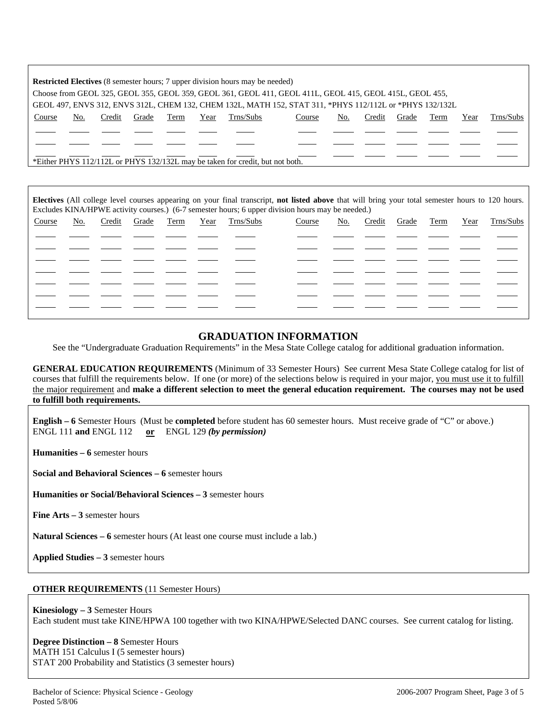|                                                                                                          | <b>Restricted Electives</b> (8 semester hours; 7 upper division hours may be needed) |        |       |      |      |                                                                               |        |     |        |       |      |      |           |
|----------------------------------------------------------------------------------------------------------|--------------------------------------------------------------------------------------|--------|-------|------|------|-------------------------------------------------------------------------------|--------|-----|--------|-------|------|------|-----------|
| Choose from GEOL 325, GEOL 355, GEOL 359, GEOL 361, GEOL 411, GEOL 411L, GEOL 415, GEOL 415L, GEOL 455,  |                                                                                      |        |       |      |      |                                                                               |        |     |        |       |      |      |           |
| GEOL 497, ENVS 312, ENVS 312L, CHEM 132, CHEM 132L, MATH 152, STAT 311, *PHYS 112/112L or *PHYS 132/132L |                                                                                      |        |       |      |      |                                                                               |        |     |        |       |      |      |           |
| Course                                                                                                   | No.                                                                                  | Credit | Grade | Term | Year | Trns/Subs                                                                     | Course | No. | Credit | Grade | Term | Year | Trns/Subs |
|                                                                                                          |                                                                                      |        |       |      |      |                                                                               |        |     |        |       |      |      |           |
|                                                                                                          |                                                                                      |        |       |      |      |                                                                               |        |     |        |       |      |      |           |
|                                                                                                          |                                                                                      |        |       |      |      | *Either PHYS 112/112L or PHYS 132/132L may be taken for credit, but not both. |        |     |        |       |      |      |           |

**Electives** (All college level courses appearing on your final transcript, **not listed above** that will bring your total semester hours to 120 hours. Excludes KINA/HPWE activity courses.) (6-7 semester hours; 6 upper division hours may be needed.)

| Course | <u>No.</u> |  |  | Credit Grade Term Year Trns/Subs | Course | <u>No.</u> | Credit |  | Grade Term Year Trns/Subs |
|--------|------------|--|--|----------------------------------|--------|------------|--------|--|---------------------------|
|        |            |  |  |                                  |        |            |        |  |                           |
|        |            |  |  |                                  |        |            |        |  |                           |
|        |            |  |  |                                  |        |            |        |  |                           |
|        |            |  |  |                                  |        |            |        |  |                           |
|        |            |  |  |                                  |        |            |        |  |                           |
|        |            |  |  |                                  |        |            |        |  |                           |
|        |            |  |  |                                  |        |            |        |  |                           |
|        |            |  |  |                                  |        |            |        |  |                           |

### **GRADUATION INFORMATION**

See the "Undergraduate Graduation Requirements" in the Mesa State College catalog for additional graduation information.

**GENERAL EDUCATION REQUIREMENTS** (Minimum of 33 Semester Hours) See current Mesa State College catalog for list of courses that fulfill the requirements below. If one (or more) of the selections below is required in your major, you must use it to fulfill the major requirement and **make a different selection to meet the general education requirement. The courses may not be used to fulfill both requirements.**

**English – 6** Semester Hours (Must be **completed** before student has 60 semester hours. Must receive grade of "C" or above.) ENGL 111 **and** ENGL 112 **or** ENGL 129 *(by permission)*

**Humanities – 6** semester hours

**Social and Behavioral Sciences – 6** semester hours

**Humanities or Social/Behavioral Sciences – 3** semester hours

**Fine Arts – 3** semester hours

**Natural Sciences – 6** semester hours (At least one course must include a lab.)

**Applied Studies – 3** semester hours

#### **OTHER REQUIREMENTS** (11 Semester Hours)

**Kinesiology – 3** Semester Hours Each student must take KINE/HPWA 100 together with two KINA/HPWE/Selected DANC courses. See current catalog for listing.

**Degree Distinction – 8** Semester Hours MATH 151 Calculus I (5 semester hours) STAT 200 Probability and Statistics (3 semester hours)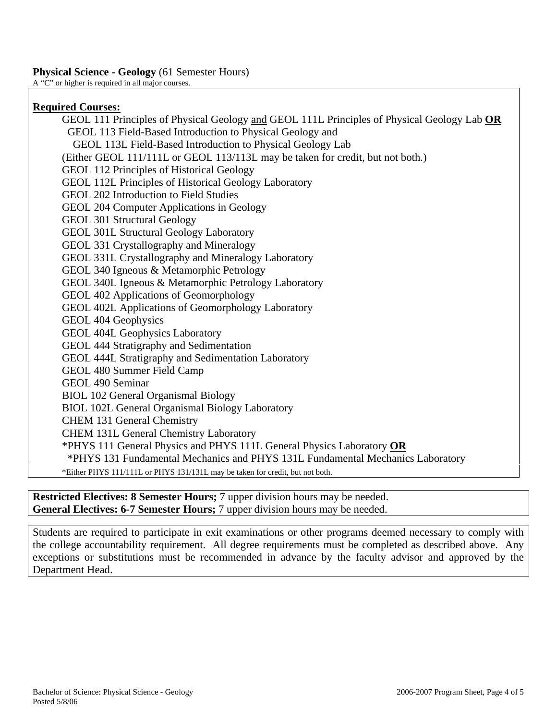# **Physical Science - Geology** (61 Semester Hours)

A "C" or higher is required in all major courses.

## **Required Courses:**

GEOL 111 Principles of Physical Geology and GEOL 111L Principles of Physical Geology Lab **OR** GEOL 113 Field-Based Introduction to Physical Geology and GEOL 113L Field-Based Introduction to Physical Geology Lab (Either GEOL 111/111L or GEOL 113/113L may be taken for credit, but not both.) GEOL 112 Principles of Historical Geology GEOL 112L Principles of Historical Geology Laboratory GEOL 202 Introduction to Field Studies GEOL 204 Computer Applications in Geology GEOL 301 Structural Geology GEOL 301L Structural Geology Laboratory GEOL 331 Crystallography and Mineralogy GEOL 331L Crystallography and Mineralogy Laboratory GEOL 340 Igneous & Metamorphic Petrology GEOL 340L Igneous & Metamorphic Petrology Laboratory GEOL 402 Applications of Geomorphology GEOL 402L Applications of Geomorphology Laboratory GEOL 404 Geophysics GEOL 404L Geophysics Laboratory GEOL 444 Stratigraphy and Sedimentation GEOL 444L Stratigraphy and Sedimentation Laboratory GEOL 480 Summer Field Camp GEOL 490 Seminar BIOL 102 General Organismal Biology BIOL 102L General Organismal Biology Laboratory CHEM 131 General Chemistry CHEM 131L General Chemistry Laboratory \*PHYS 111 General Physics and PHYS 111L General Physics Laboratory **OR** \*PHYS 131 Fundamental Mechanics and PHYS 131L Fundamental Mechanics Laboratory \*Either PHYS 111/111L or PHYS 131/131L may be taken for credit, but not both.

**Restricted Electives: 8 Semester Hours;** 7 upper division hours may be needed. **General Electives: 6-7 Semester Hours;** 7 upper division hours may be needed.

Students are required to participate in exit examinations or other programs deemed necessary to comply with the college accountability requirement. All degree requirements must be completed as described above. Any exceptions or substitutions must be recommended in advance by the faculty advisor and approved by the Department Head.